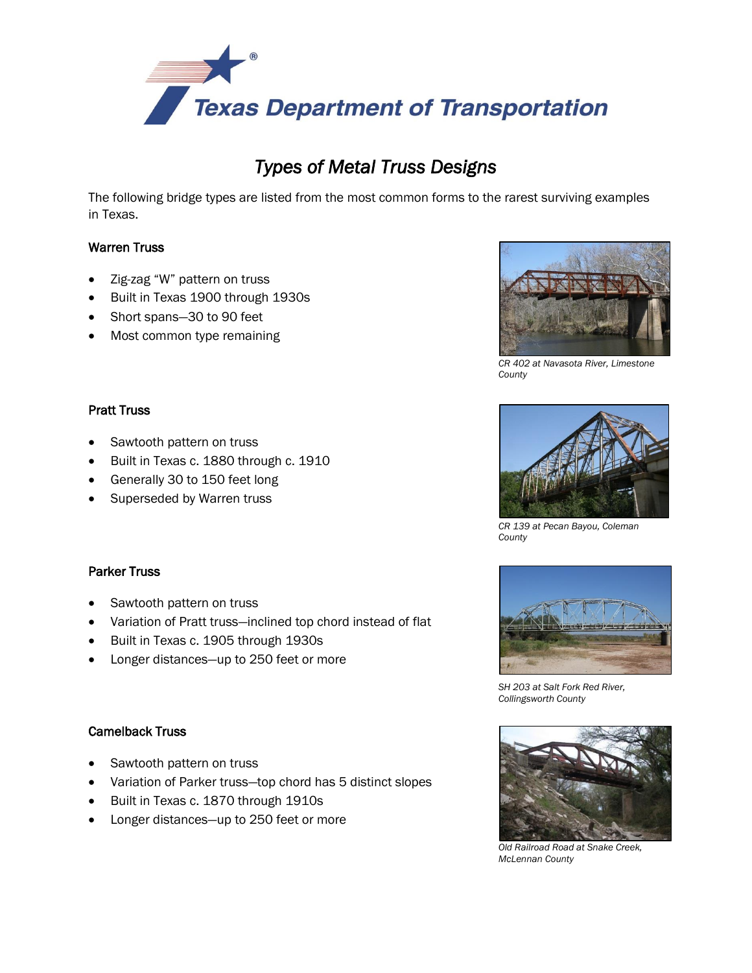

# *Types of Metal Truss Designs*

The following bridge types are listed from the most common forms to the rarest surviving examples in Texas.

# Warren Truss

- Zig-zag "W" pattern on truss
- Built in Texas 1900 through 1930s
- Short spans-30 to 90 feet
- Most common type remaining



*CR 402 at Navasota River, Limestone County* 

### Pratt Truss

- Sawtooth pattern on truss
- Built in Texas c. 1880 through c. 1910
- Generally 30 to 150 feet long
- Superseded by Warren truss

## Parker Truss

- Sawtooth pattern on truss
- Variation of Pratt truss—inclined top chord instead of flat
- Built in Texas c. 1905 through 1930s
- Longer distances—up to 250 feet or more

## Camelback Truss

- Sawtooth pattern on truss
- Variation of Parker truss—top chord has 5 distinct slopes
- Built in Texas c. 1870 through 1910s
- Longer distances—up to 250 feet or more



*CR 139 at Pecan Bayou, Coleman County* 



*SH 203 at Salt Fork Red River, Collingsworth County* 



 *Old Railroad Road at Snake Creek, McLennan County*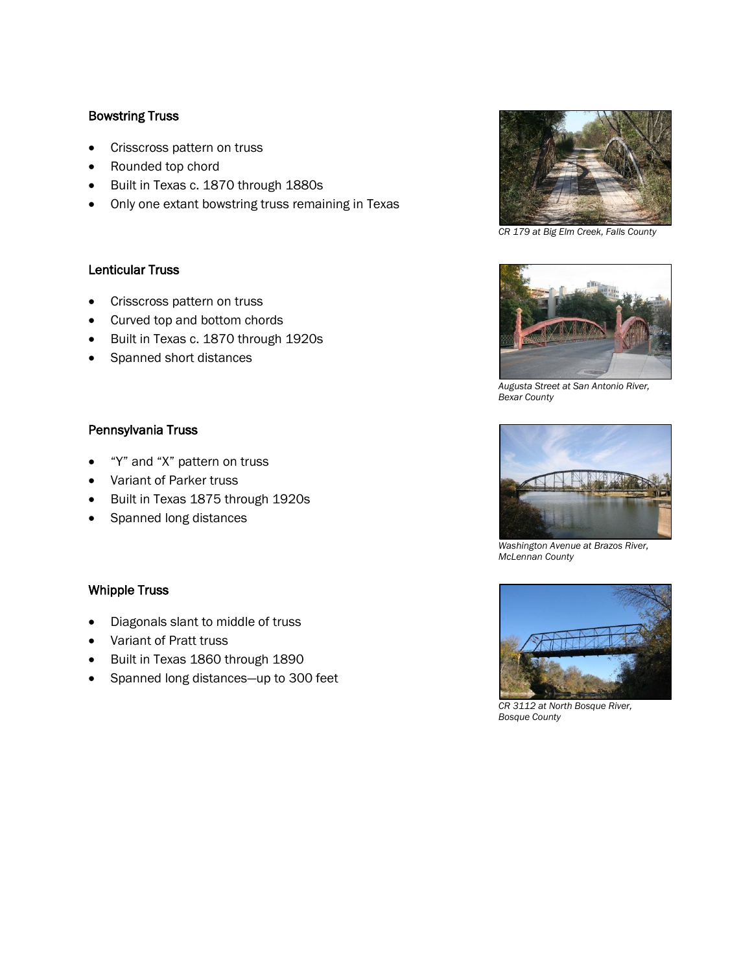## Bowstring Truss

- Crisscross pattern on truss
- Rounded top chord
- Built in Texas c. 1870 through 1880s
- Only one extant bowstring truss remaining in Texas

#### Lenticular Truss

- Crisscross pattern on truss
- Curved top and bottom chords
- Built in Texas c. 1870 through 1920s
- Spanned short distances

#### Pennsylvania Truss

- "Y" and "X" pattern on truss
- Variant of Parker truss
- Built in Texas 1875 through 1920s
- Spanned long distances

#### Whipple Truss

- Diagonals slant to middle of truss
- Variant of Pratt truss
- Built in Texas 1860 through 1890
- Spanned long distances—up to 300 feet



*CR 179 at Big Elm Creek, Falls County* 



*Augusta Street at San Antonio River, Bexar County* 



 *Washington Avenue at Brazos River, McLennan County* 



*CR 3112 at North Bosque River, Bosque County*